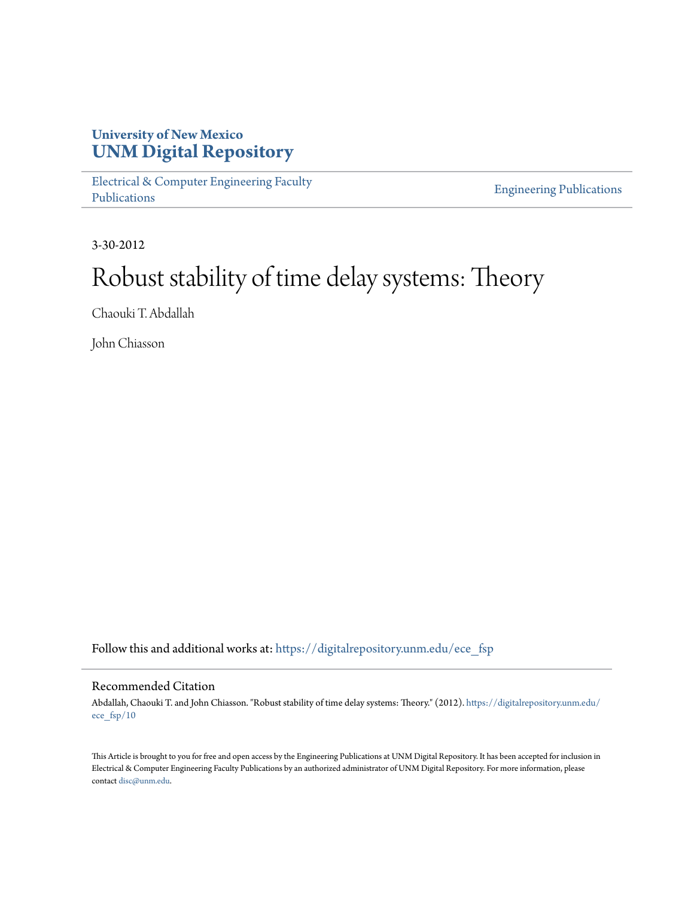## **University of New Mexico [UNM Digital Repository](https://digitalrepository.unm.edu?utm_source=digitalrepository.unm.edu%2Fece_fsp%2F10&utm_medium=PDF&utm_campaign=PDFCoverPages)**

[Electrical & Computer Engineering Faculty](https://digitalrepository.unm.edu/ece_fsp?utm_source=digitalrepository.unm.edu%2Fece_fsp%2F10&utm_medium=PDF&utm_campaign=PDFCoverPages) [Publications](https://digitalrepository.unm.edu/ece_fsp?utm_source=digitalrepository.unm.edu%2Fece_fsp%2F10&utm_medium=PDF&utm_campaign=PDFCoverPages)

[Engineering Publications](https://digitalrepository.unm.edu/eng_fsp?utm_source=digitalrepository.unm.edu%2Fece_fsp%2F10&utm_medium=PDF&utm_campaign=PDFCoverPages)

3-30-2012

# Robust stability of time delay systems: Theory

Chaouki T. Abdallah

John Chiasson

Follow this and additional works at: [https://digitalrepository.unm.edu/ece\\_fsp](https://digitalrepository.unm.edu/ece_fsp?utm_source=digitalrepository.unm.edu%2Fece_fsp%2F10&utm_medium=PDF&utm_campaign=PDFCoverPages)

### Recommended Citation

Abdallah, Chaouki T. and John Chiasson. "Robust stability of time delay systems: Theory." (2012). [https://digitalrepository.unm.edu/](https://digitalrepository.unm.edu/ece_fsp/10?utm_source=digitalrepository.unm.edu%2Fece_fsp%2F10&utm_medium=PDF&utm_campaign=PDFCoverPages) [ece\\_fsp/10](https://digitalrepository.unm.edu/ece_fsp/10?utm_source=digitalrepository.unm.edu%2Fece_fsp%2F10&utm_medium=PDF&utm_campaign=PDFCoverPages)

This Article is brought to you for free and open access by the Engineering Publications at UNM Digital Repository. It has been accepted for inclusion in Electrical & Computer Engineering Faculty Publications by an authorized administrator of UNM Digital Repository. For more information, please contact [disc@unm.edu.](mailto:disc@unm.edu)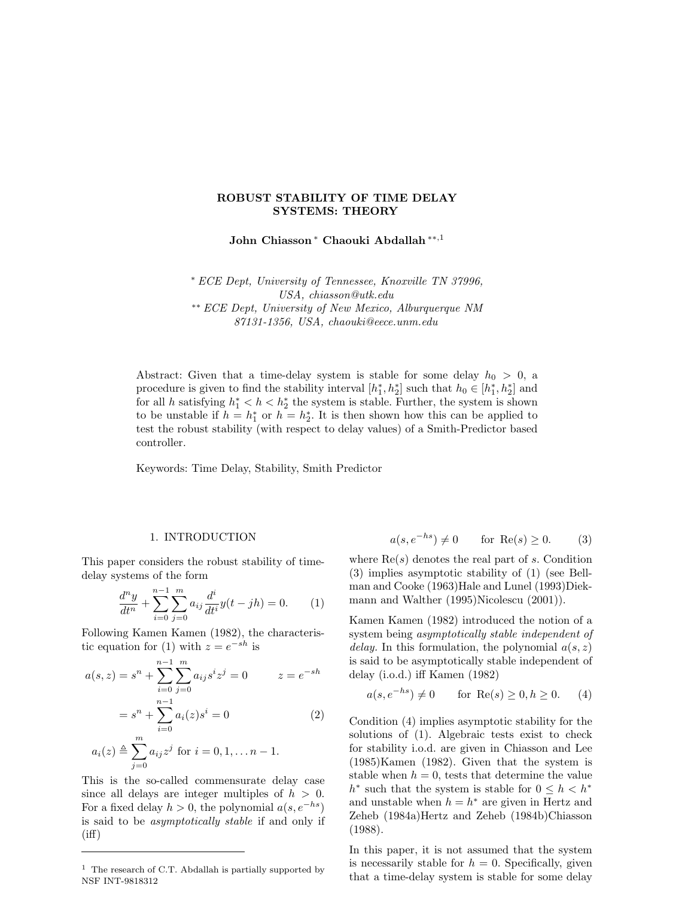#### ROBUST STABILITY OF TIME DELAY SYSTEMS: THEORY

John Chiasson <sup>∗</sup> Chaouki Abdallah ∗∗,<sup>1</sup>

<sup>∗</sup> ECE Dept, University of Tennessee, Knoxville TN 37996, USA, chiasson@utk.edu

∗∗ ECE Dept, University of New Mexico, Alburquerque NM 87131-1356, USA, chaouki@eece.unm.edu

Abstract: Given that a time-delay system is stable for some delay  $h_0 > 0$ , a procedure is given to find the stability interval  $[h_1^*, h_2^*]$  such that  $h_0 \in [h_1^*, h_2^*]$  and for all h satisfying  $h_1^* < h < h_2^*$  the system is stable. Further, the system is shown to be unstable if  $h = h_1^*$  or  $h = h_2^*$ . It is then shown how this can be applied to test the robust stability (with respect to delay values) of a Smith-Predictor based controller.

Keywords: Time Delay, Stability, Smith Predictor

#### 1. INTRODUCTION

This paper considers the robust stability of timedelay systems of the form

$$
\frac{d^n y}{dt^n} + \sum_{i=0}^{n-1} \sum_{j=0}^m a_{ij} \frac{d^i}{dt^i} y(t - jh) = 0.
$$
 (1)

Following Kamen Kamen (1982), the characteristic equation for (1) with  $z = e^{-sh}$  is

$$
a(s, z) = sn + \sum_{i=0}^{n-1} \sum_{j=0}^{m} a_{ij} s^{i} z^{j} = 0 \qquad z = e^{-sh}
$$

$$
= sn + \sum_{i=0}^{n-1} a_{i}(z) s^{i} = 0 \qquad (2)
$$

$$
a_i(z) \triangleq \sum_{j=0}^{m} a_{ij} z^j
$$
 for  $i = 0, 1, ..., n - 1$ .

This is the so-called commensurate delay case since all delays are integer multiples of  $h > 0$ . For a fixed delay  $h > 0$ , the polynomial  $a(s, e^{-hs})$ is said to be asymptotically stable if and only if  $(iff)$ 

$$
a(s, e^{-hs}) \neq 0 \qquad \text{for } \operatorname{Re}(s) \ge 0. \tag{3}
$$

where  $\text{Re}(s)$  denotes the real part of s. Condition (3) implies asymptotic stability of (1) (see Bellman and Cooke (1963)Hale and Lunel (1993)Diekmann and Walther (1995)Nicolescu (2001)).

Kamen Kamen (1982) introduced the notion of a system being asymptotically stable independent of delay. In this formulation, the polynomial  $a(s, z)$ is said to be asymptotically stable independent of delay (i.o.d.) iff Kamen (1982)

$$
a(s, e^{-hs}) \neq 0 \qquad \text{for } \operatorname{Re}(s) \ge 0, h \ge 0. \tag{4}
$$

Condition (4) implies asymptotic stability for the solutions of (1). Algebraic tests exist to check for stability i.o.d. are given in Chiasson and Lee (1985)Kamen (1982). Given that the system is stable when  $h = 0$ , tests that determine the value  $h^*$  such that the system is stable for  $0 \leq h < h^*$ and unstable when  $h = h^*$  are given in Hertz and Zeheb (1984a)Hertz and Zeheb (1984b)Chiasson (1988).

In this paper, it is not assumed that the system is necessarily stable for  $h = 0$ . Specifically, given that a time-delay system is stable for some delay

 $<sup>1</sup>$  The research of C.T. Abdallah is partially supported by</sup> NSF INT-9818312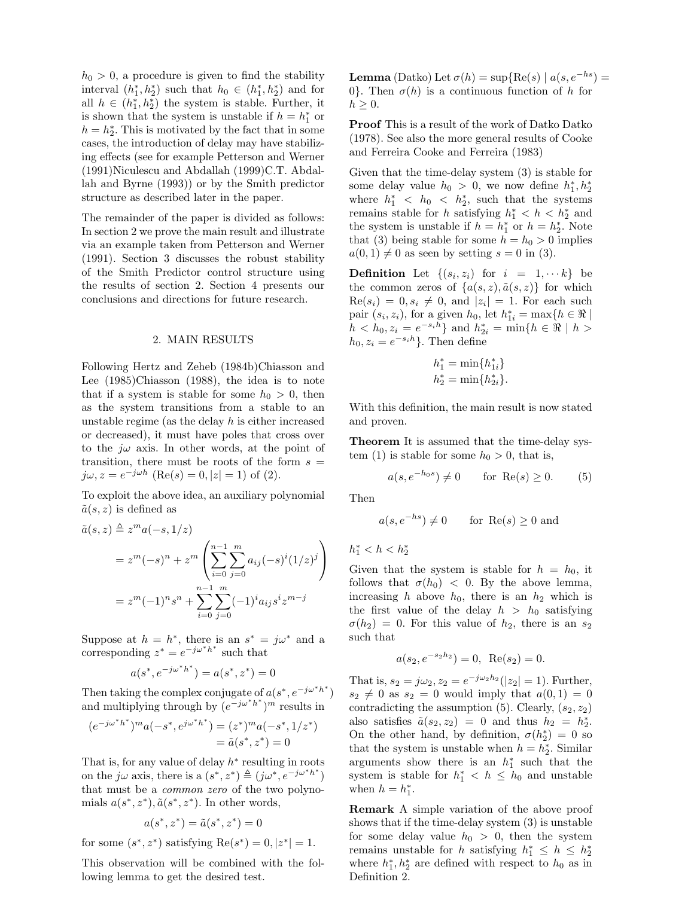$h_0 > 0$ , a procedure is given to find the stability interval  $(h_1^*, h_2^*)$  such that  $h_0 \in (h_1^*, h_2^*)$  and for all  $h \in (h_1^*, h_2^*)$  the system is stable. Further, it is shown that the system is unstable if  $h = h_1^*$  or  $h = h_2^*$ . This is motivated by the fact that in some cases, the introduction of delay may have stabilizing effects (see for example Petterson and Werner (1991)Niculescu and Abdallah (1999)C.T. Abdallah and Byrne (1993)) or by the Smith predictor structure as described later in the paper.

The remainder of the paper is divided as follows: In section 2 we prove the main result and illustrate via an example taken from Petterson and Werner (1991). Section 3 discusses the robust stability of the Smith Predictor control structure using the results of section 2. Section 4 presents our conclusions and directions for future research.

#### 2. MAIN RESULTS

Following Hertz and Zeheb (1984b)Chiasson and Lee (1985)Chiasson (1988), the idea is to note that if a system is stable for some  $h_0 > 0$ , then as the system transitions from a stable to an unstable regime (as the delay  $h$  is either increased or decreased), it must have poles that cross over to the  $j\omega$  axis. In other words, at the point of transition, there must be roots of the form  $s =$  $j\omega, z = e^{-j\omega h}$  (Re(s) = 0, |z| = 1) of (2).

To exploit the above idea, an auxiliary polynomial  $\tilde{a}(s, z)$  is defined as

$$
\tilde{a}(s, z) \triangleq z^m a(-s, 1/z)
$$
  
=  $z^m(-s)^n + z^m \left( \sum_{i=0}^{n-1} \sum_{j=0}^m a_{ij} (-s)^i (1/z)^j \right)$   
=  $z^m(-1)^n s^n + \sum_{i=0}^{n-1} \sum_{j=0}^m (-1)^i a_{ij} s^i z^{m-j}$ 

Suppose at  $h = h^*$ , there is an  $s^* = j\omega^*$  and a corresponding  $z^* = e^{-j\omega^*h^*}$  such that

$$
a(s^*, e^{-j\omega^*h^*}) = a(s^*, z^*) = 0
$$

Then taking the complex conjugate of  $a(s^*, e^{-j\omega^*h^*})$ and multiplying through by  $(e^{-j\omega^*h^*})^m$  results in

$$
(e^{-j\omega^*h^*})^m a(-s^*, e^{j\omega^*h^*}) = (z^*)^m a(-s^*, 1/z^*)
$$
  
=  $\tilde{a}(s^*, z^*) = 0$ 

That is, for any value of delay  $h^*$  resulting in roots on the j $\omega$  axis, there is a  $(s^*, z^*) \triangleq (j\omega^*, e^{-j\omega^*h^*})$ that must be a common zero of the two polynomials  $a(s^*, z^*)$ ,  $\tilde{a}(s^*, z^*)$ . In other words,

$$
a(s^*,z^*)=\tilde a(s^*,z^*)=0
$$

for some  $(s^*, z^*)$  satisfying  $Re(s^*) = 0, |z^*| = 1$ .

This observation will be combined with the following lemma to get the desired test.

**Lemma** (Datko) Let  $\sigma(h) = \sup{\text{Re}(s) | a(s, e^{-hs})}$ 0. Then  $\sigma(h)$  is a continuous function of h for  $h \geq 0$ .

Proof This is a result of the work of Datko Datko (1978). See also the more general results of Cooke and Ferreira Cooke and Ferreira (1983)

Given that the time-delay system (3) is stable for some delay value  $h_0 > 0$ , we now define  $h_1^*, h_2^*$ where  $h_1^*$  <  $h_0$  <  $h_2^*$ , such that the systems remains stable for h satisfying  $h_1^* < h < h_2^*$  and the system is unstable if  $h = h_1^*$  or  $h = h_2^*$ . Note that (3) being stable for some  $h = h_0 > 0$  implies  $a(0, 1) \neq 0$  as seen by setting  $s = 0$  in (3).

**Definition** Let  $\{(s_i, z_i)$  for  $i = 1, \dots k\}$  be the common zeros of  $\{a(s, z), \tilde{a}(s, z)\}\;$  for which  $\text{Re}(s_i) = 0, s_i \neq 0$ , and  $|z_i| = 1$ . For each such pair  $(s_i, z_i)$ , for a given  $h_0$ , let  $h_{1i}^* = \max\{h \in \Re\mid \Re\}$  $h < h_0, z_i = e^{-s_i h}$  and  $h_{2i}^* = \min\{h \in \Re \mid h > \}$  $h_0, z_i = e^{-s_i h}$ . Then define

$$
h_1^* = \min\{h_{1i}^*\}
$$
  

$$
h_2^* = \min\{h_{2i}^*\}.
$$

With this definition, the main result is now stated and proven.

Theorem It is assumed that the time-delay system (1) is stable for some  $h_0 > 0$ , that is,

$$
a(s, e^{-h_0 s}) \neq 0 \qquad \text{for } \operatorname{Re}(s) \ge 0. \tag{5}
$$

Then

$$
a(s, e^{-hs}) \neq 0
$$
 for Re(s)  $\geq 0$  and

 $h_1^* < h < h_2^*$ 

Given that the system is stable for  $h = h_0$ , it follows that  $\sigma(h_0)$  < 0. By the above lemma, increasing h above  $h_0$ , there is an  $h_2$  which is the first value of the delay  $h > h_0$  satisfying  $\sigma(h_2) = 0$ . For this value of  $h_2$ , there is an  $s_2$ such that

$$
a(s_2, e^{-s_2h_2}) = 0
$$
, Re $(s_2) = 0$ .

That is,  $s_2 = j\omega_2, z_2 = e^{-j\omega_2 h_2}(|z_2| = 1)$ . Further,  $s_2 \neq 0$  as  $s_2 = 0$  would imply that  $a(0, 1) = 0$ contradicting the assumption  $(5)$ . Clearly,  $(s_2, z_2)$ also satisfies  $\tilde{a}(s_2, z_2) = 0$  and thus  $h_2 = h_2^*$ . On the other hand, by definition,  $\sigma(h_2^*) = 0$  so that the system is unstable when  $h = h_2^*$ . Similar arguments show there is an  $h_1^*$  such that the system is stable for  $h_1^*$  <  $h \leq h_0$  and unstable when  $h = h_1^*$ .

Remark A simple variation of the above proof shows that if the time-delay system (3) is unstable for some delay value  $h_0 > 0$ , then the system remains unstable for h satisfying  $h_1^* \leq h \leq h_2^*$ where  $h_1^*, h_2^*$  are defined with respect to  $h_0$  as in Definition 2.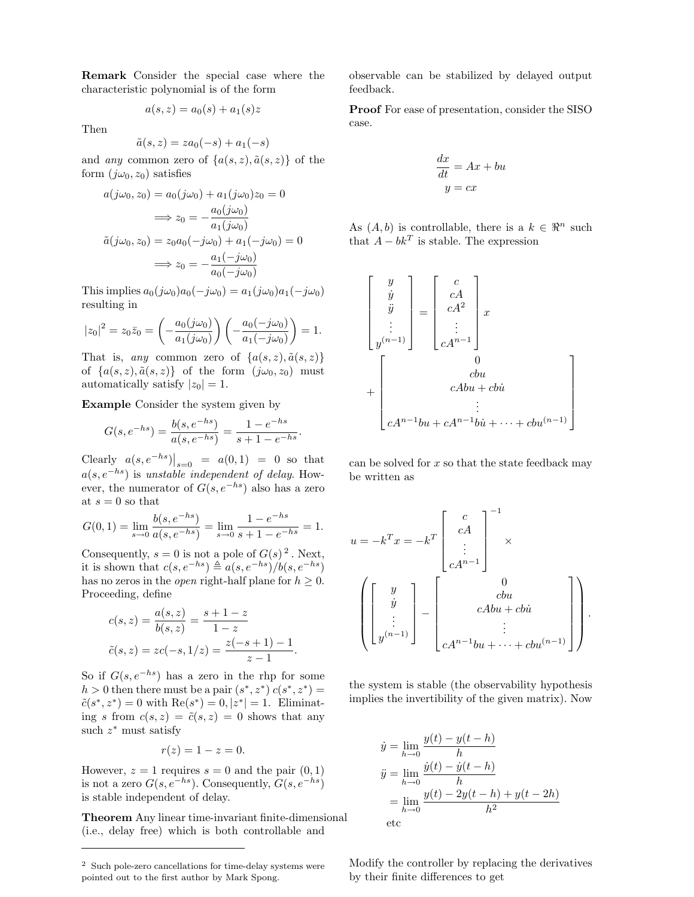Remark Consider the special case where the characteristic polynomial is of the form

$$
a(s, z) = a_0(s) + a_1(s)z
$$

Then

$$
\tilde{a}(s, z) = za_0(-s) + a_1(-s)
$$

and any common zero of  $\{a(s, z), \tilde{a}(s, z)\}\$  of the form  $(j\omega_0, z_0)$  satisfies

$$
a(j\omega_0, z_0) = a_0(j\omega_0) + a_1(j\omega_0)z_0 = 0
$$
  
\n
$$
\implies z_0 = -\frac{a_0(j\omega_0)}{a_1(j\omega_0)}
$$
  
\n
$$
\tilde{a}(j\omega_0, z_0) = z_0a_0(-j\omega_0) + a_1(-j\omega_0) = 0
$$
  
\n
$$
\implies z_0 = -\frac{a_1(-j\omega_0)}{a_0(-j\omega_0)}
$$

This implies  $a_0(j\omega_0)a_0(-j\omega_0) = a_1(j\omega_0)a_1(-j\omega_0)$ resulting in

$$
|z_0|^2 = z_0 \overline{z}_0 = \left(-\frac{a_0(j\omega_0)}{a_1(j\omega_0)}\right) \left(-\frac{a_0(-j\omega_0)}{a_1(-j\omega_0)}\right) = 1.
$$

That is, any common zero of  $\{a(s, z), \tilde{a}(s, z)\}\$ of  $\{a(s, z), \tilde{a}(s, z)\}\$  of the form  $(j\omega_0, z_0)$  must automatically satisfy  $|z_0|=1$ .

Example Consider the system given by

$$
G(s, e^{-hs}) = \frac{b(s, e^{-hs})}{a(s, e^{-hs})} = \frac{1 - e^{-hs}}{s + 1 - e^{-hs}}.
$$

Clearly  $a(s, e^{-hs})\big|_{s=0} = a(0, 1) = 0$  so that  $a(s, e^{-hs})$  is unstable independent of delay. However, the numerator of  $G(s, e^{-hs})$  also has a zero at  $s = 0$  so that

$$
G(0, 1) = \lim_{s \to 0} \frac{b(s, e^{-hs})}{a(s, e^{-hs})} = \lim_{s \to 0} \frac{1 - e^{-hs}}{s + 1 - e^{-hs}} = 1.
$$

Consequently,  $s = 0$  is not a pole of  $G(s)^2$ . Next, it is shown that  $c(s, e^{-hs}) \triangleq a(s, e^{-hs})/b(s, e^{-hs})$ has no zeros in the *open* right-half plane for  $h \geq 0$ . Proceeding, define

$$
c(s, z) = \frac{a(s, z)}{b(s, z)} = \frac{s + 1 - z}{1 - z}
$$
  
\n
$$
\tilde{c}(s, z) = zc(-s, 1/z) = \frac{z(-s + 1) - 1}{z - 1}.
$$

So if  $G(s, e^{-hs})$  has a zero in the rhp for some  $h > 0$  then there must be a pair  $(s^*, z^*) c(s^*, z^*) =$  $\tilde{c}(s^*, z^*) = 0$  with  $\text{Re}(s^*) = 0, |z^*| = 1$ . Eliminating s from  $c(s, z) = \tilde{c}(s, z) = 0$  shows that any such  $z^*$  must satisfy

$$
r(z) = 1 - z = 0.
$$

However,  $z = 1$  requires  $s = 0$  and the pair  $(0, 1)$ is not a zero  $G(s, e^{-hs})$ . Consequently,  $G(s, e^{-hs})$ is stable independent of delay.

Theorem Any linear time-invariant finite-dimensional (i.e., delay free) which is both controllable and

observable can be stabilized by delayed output feedback.

Proof For ease of presentation, consider the SISO case.

$$
\frac{dx}{dt} = Ax + bu
$$

$$
y = cx
$$

As  $(A, b)$  is controllable, there is a  $k \in \mathbb{R}^n$  such that  $A - bk^T$  is stable. The expression

$$
\begin{bmatrix} y \\ \dot{y} \\ \ddot{y} \\ \vdots \\ y^{(n-1)} \end{bmatrix} = \begin{bmatrix} c \\ cA \\ cA^2 \\ \vdots \\ cA^{n-1} \end{bmatrix} x
$$

$$
+ \begin{bmatrix} 0 \\ \vdots \\ cAbu + cbi \\ \vdots \\ cA^{n-1}bu + cA^{n-1}bi + \dots + cbu^{(n-1)} \end{bmatrix}
$$

can be solved for  $x$  so that the state feedback may be written as

$$
u = -k^{T}x = -k^{T}\begin{bmatrix} c \\ cA \\ \vdots \\ cA^{n-1} \end{bmatrix}^{-1} \times
$$

$$
\begin{pmatrix} y \\ \vdots \\ y^{(n-1)} \end{pmatrix} - \begin{bmatrix} 0 \\ cbu \\ cbu \\ cAbu + cbu \\ \vdots \\ cA^{n-1}bu + \dots + cbu^{(n-1)} \end{bmatrix}.
$$

the system is stable (the observability hypothesis implies the invertibility of the given matrix). Now

$$
\dot{y} = \lim_{h \to 0} \frac{y(t) - y(t - h)}{h}
$$
\n
$$
\ddot{y} = \lim_{h \to 0} \frac{\dot{y}(t) - \dot{y}(t - h)}{h}
$$
\n
$$
= \lim_{h \to 0} \frac{y(t) - 2y(t - h) + y(t - 2h)}{h^2}
$$
\netc

Modify the controller by replacing the derivatives by their finite differences to get

<sup>2</sup> Such pole-zero cancellations for time-delay systems were pointed out to the first author by Mark Spong.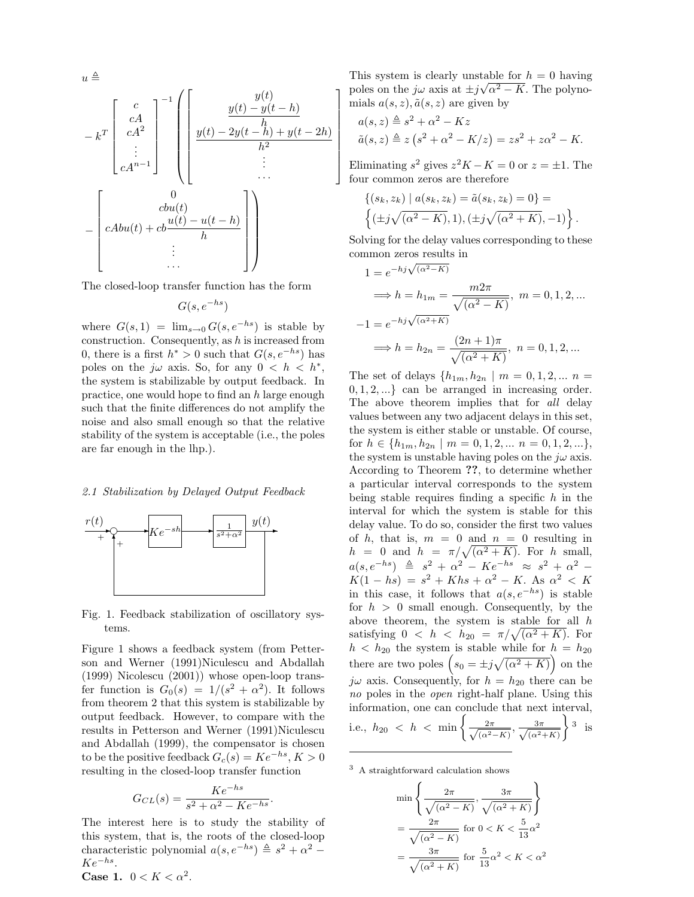$$
u \triangleq
$$

$$
- kT \begin{bmatrix} c \\ cA \\ cA^2 \\ \vdots \\ cA^{n-1} \end{bmatrix}^{-1} \left( \begin{bmatrix} y(t) \\ y(t) - y(t-h) \\ y(t) - 2y(t-h) + y(t-2h) \\ h^2 \\ \vdots \\ h^2 \end{bmatrix} \right)
$$

$$
- \begin{bmatrix} 0 \\ cbu(t) \\ \vdots \\ cabu(t) + cb\frac{u(t) - u(t-h)}{h} \\ \vdots \\ h \end{bmatrix} \right)
$$

The closed-loop transfer function has the form

$$
G(s, e^{-hs})
$$

where  $G(s, 1) = \lim_{s\to 0} G(s, e^{-hs})$  is stable by construction. Consequently, as  $h$  is increased from 0, there is a first  $h^* > 0$  such that  $G(s, e^{-hs})$  has poles on the  $j\omega$  axis. So, for any  $0 < h < h^*$ , the system is stabilizable by output feedback. In practice, one would hope to find an h large enough such that the finite differences do not amplify the noise and also small enough so that the relative stability of the system is acceptable (i.e., the poles are far enough in the lhp.).

#### 2.1 Stabilization by Delayed Output Feedback



Fig. 1. Feedback stabilization of oscillatory systems.

Figure 1 shows a feedback system (from Petterson and Werner (1991)Niculescu and Abdallah (1999) Nicolescu (2001)) whose open-loop transfer function is  $G_0(s) = 1/(s^2 + \alpha^2)$ . It follows from theorem 2 that this system is stabilizable by output feedback. However, to compare with the results in Petterson and Werner (1991)Niculescu and Abdallah (1999), the compensator is chosen to be the positive feedback  $G_c(s) = Ke^{-hs}$ ,  $K > 0$ resulting in the closed-loop transfer function

$$
G_{CL}(s) = \frac{Ke^{-hs}}{s^2 + \alpha^2 - Ke^{-hs}}.
$$

The interest here is to study the stability of this system, that is, the roots of the closed-loop characteristic polynomial  $a(s, e^{-hs}) \triangleq s^2 + \alpha^2$  –  $Ke^{-hs}$ .

Case 1.  $0 < K < \alpha^2$ .

This system is clearly unstable for  $h = 0$  having poles on the  $j\omega$  axis at  $\pm j\sqrt{\alpha^2 - K}$ . The polynomials  $a(s, z)$ ,  $\tilde{a}(s, z)$  are given by

 $\overline{a}$  $\mathbf{I}$  $\mathbf{I}$  $\mathbf{I}$  $\mathbf{I}$  $\mathbf{I}$  $\mathbf{I}$  $\mathbf{I}$  $\mathbf{I}$  $\overline{1}$ 

$$
a(s, z) \triangleq s^2 + \alpha^2 - Kz
$$
  
 
$$
\tilde{a}(s, z) \triangleq z (s^2 + \alpha^2 - K/z) = zs^2 + z\alpha^2 - K.
$$

Eliminating  $s^2$  gives  $z^2K - K = 0$  or  $z = \pm 1$ . The four common zeros are therefore

$$
\{(s_k, z_k) | a(s_k, z_k) = \tilde{a}(s_k, z_k) = 0\} = \left\{ (\pm j\sqrt{(\alpha^2 - K)}, 1), (\pm j\sqrt{(\alpha^2 + K)}, -1) \right\}.
$$

Solving for the delay values corresponding to these common zeros results in<br>  $1 - e^{-hj\sqrt{(\alpha^2 - K)}}$ 

$$
1 = e^{-h_j \sqrt{(\alpha^2 - K)}}
$$
  
\n
$$
\implies h = h_{1m} = \frac{m2\pi}{\sqrt{(\alpha^2 - K)}}
$$
,  $m = 0, 1, 2, ...$   
\n
$$
-1 = e^{-h_j \sqrt{(\alpha^2 + K)}}
$$
  
\n
$$
\implies h = h_{2n} = \frac{(2n + 1)\pi}{\sqrt{(\alpha^2 + K)}}
$$
,  $n = 0, 1, 2, ...$ 

The set of delays  $\{h_{1m}, h_{2n} \mid m = 0, 1, 2, ... \ n =$  $0, 1, 2, \ldots$  can be arranged in increasing order. The above theorem implies that for all delay values between any two adjacent delays in this set, the system is either stable or unstable. Of course, for  $h \in \{h_{1m}, h_{2n} \mid m = 0, 1, 2, \dots n = 0, 1, 2, \dots\},\$ the system is unstable having poles on the  $i\omega$  axis. According to Theorem ??, to determine whether a particular interval corresponds to the system being stable requires finding a specific  $h$  in the interval for which the system is stable for this delay value. To do so, consider the first two values of h, that is,  $m = 0$  and  $n = 0$  resulting in of *h*, that is,  $m = 0$  and  $n = 0$  resulting in<br>  $h = 0$  and  $h = \pi/\sqrt{(\alpha^2 + K)}$ . For *h* small,  $a(s, e^{-hs}) \triangleq s^2 + \alpha^2 - Ke^{-hs} \approx s^2 + \alpha^2 K(1 - hs) = s^2 + Khs + \alpha^2 - K$ . As  $\alpha^2 < K$ in this case, it follows that  $a(s, e^{-hs})$  is stable for  $h > 0$  small enough. Consequently, by the above theorem, the system is stable for all  $h$ above theorem, the system is stable for all has satisfying  $0 < h < h_{20} = \pi/\sqrt{(\alpha^2 + K)}$ . For  $h < h_{20}$  the system is stable while for  $h = h_{20}$  $h < h_{20}$  the system is stable while for  $h = h_{20}$ <br>there are two poles  $(s_0 = \pm j\sqrt{(\alpha^2 + K)})$  on the  $j\omega$  axis. Consequently, for  $h = h_{20}$  there can be no poles in the *open* right-half plane. Using this information, one can conclude that next interval, information, one can conclude<br>i.e.,  $h_{20} < h < \min \left\{ \frac{2\pi}{\sqrt{1-\lambda^2}} \right\}$  $\frac{2\pi}{(\alpha^2-K)}, \frac{3\pi}{\sqrt{(\alpha^2-K)}}$  $(\alpha^2+K)$ 3 is

<sup>3</sup> A straightforward calculation shows

$$
\min\left\{\frac{2\pi}{\sqrt{(\alpha^2 - K)}}, \frac{3\pi}{\sqrt{(\alpha^2 + K)}}\right\}
$$

$$
= \frac{2\pi}{\sqrt{(\alpha^2 - K)}} \text{ for } 0 < K < \frac{5}{13}\alpha^2
$$

$$
= \frac{3\pi}{\sqrt{(\alpha^2 + K)}} \text{ for } \frac{5}{13}\alpha^2 < K < \alpha^2
$$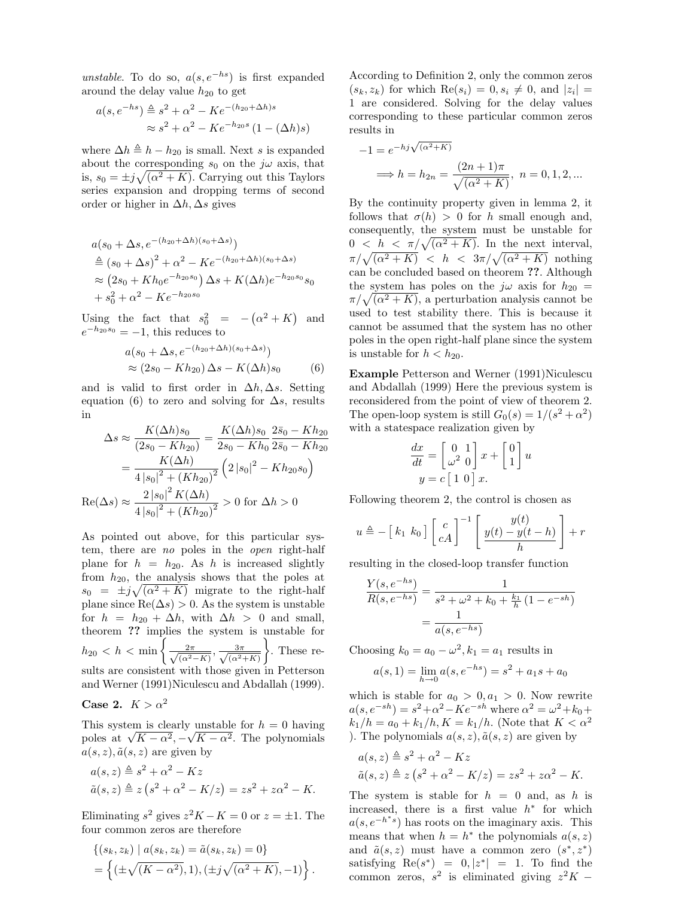unstable. To do so,  $a(s, e^{-hs})$  is first expanded around the delay value  $h_{20}$  to get

$$
a(s, e^{-hs}) \triangleq s^2 + \alpha^2 - Ke^{-(h_{20} + \Delta h)s}
$$

$$
\approx s^2 + \alpha^2 - Ke^{-h_{20}s} (1 - (\Delta h)s)
$$

where  $\Delta h \triangleq h - h_{20}$  is small. Next s is expanded about the corresponding  $s_0$  on the  $j\omega$  axis, that is,  $s_0 = \pm j\sqrt{(\alpha^2 + K)}$ . Carrying out this Taylors series expansion and dropping terms of second order or higher in  $\Delta h, \Delta s$  gives

$$
a(s_0 + \Delta s, e^{-(h_{20} + \Delta h)(s_0 + \Delta s)})
$$
  
\n
$$
\stackrel{\triangle}{=} (s_0 + \Delta s)^2 + \alpha^2 - Ke^{-(h_{20} + \Delta h)(s_0 + \Delta s)}
$$
  
\n
$$
\approx (2s_0 + Kh_0e^{-h_{20}s_0})\Delta s + K(\Delta h)e^{-h_{20}s_0}s_0
$$
  
\n
$$
+ s_0^2 + \alpha^2 - Ke^{-h_{20}s_0}
$$

Using the fact that  $s_0^2 = -$ ¡  $\alpha^2 + K$ and  $e^{-h_{20}s_0} = -1$ , this reduces to

$$
a(s_0 + \Delta s, e^{-(h_{20} + \Delta h)(s_0 + \Delta s)})
$$
  
\n
$$
\approx (2s_0 - Kh_{20}) \Delta s - K(\Delta h)s_0
$$
 (6)

and is valid to first order in  $\Delta h, \Delta s$ . Setting equation (6) to zero and solving for  $\Delta s$ , results in

$$
\Delta s \approx \frac{K(\Delta h)s_0}{(2s_0 - Kh_{20})} = \frac{K(\Delta h)s_0}{2s_0 - Kh_0} \frac{2\bar{s}_0 - Kh_{20}}{2s_0 - Kh_{20}}
$$

$$
= \frac{K(\Delta h)}{4|s_0|^2 + (Kh_{20})^2} \left(2|s_0|^2 - Kh_{20}s_0\right)
$$

$$
\text{Re}(\Delta s) \approx \frac{2|s_0|^2 K(\Delta h)}{4|s_0|^2 + (Kh_{20})^2} > 0 \text{ for } \Delta h > 0
$$

As pointed out above, for this particular system, there are no poles in the open right-half plane for  $h = h_{20}$ . As h is increased slightly from  $h_{20}$ , the analysis shows that the poles at  $s_0 = \pm j\sqrt{(\alpha^2 + K)}$  migrate to the right-half plane since  $\text{Re}(\Delta s) > 0$ . As the system is unstable for  $h = h_{20} + \Delta h$ , with  $\Delta h > 0$  and small, theorem  $\overline{?}$ ? implies the system is unstable for theorem  $\ell$ : implies the  $h_{20} < h < \min \left\{ \frac{2\pi}{\sqrt{1-\ell}} \right\}$  $\frac{2\pi}{(\alpha^2-K)}, \frac{3\pi}{\sqrt{(\alpha^2-K)}}$  $\frac{3\pi}{(\alpha^2+K)}$ . These results are consistent with those given in Petterson and Werner (1991)Niculescu and Abdallah (1999).

Case 2. 
$$
K > \alpha^2
$$

This system is clearly unstable for  $h = 0$  having This system is clearly unstable for  $n = 0$  having<br>poles at  $\sqrt{K - \alpha^2}, -\sqrt{K - \alpha^2}$ . The polynomials  $a(s, z), \tilde{a}(s, z)$  are given by

$$
a(s, z) \triangleq s^2 + \alpha^2 - Kz
$$
  
 
$$
\tilde{a}(s, z) \triangleq z (s^2 + \alpha^2 - K/z) = zs^2 + z\alpha^2 - K.
$$

Eliminating  $s^2$  gives  $z^2K - K = 0$  or  $z = \pm 1$ . The four common zeros are therefore

$$
\{(s_k, z_k) | a(s_k, z_k) = \tilde{a}(s_k, z_k) = 0\}
$$
  
= 
$$
\{( \pm \sqrt{(K - \alpha^2)}, 1), (\pm j\sqrt{(\alpha^2 + K)}, -1) \}.
$$

According to Definition 2, only the common zeros  $(s_k, z_k)$  for which  $\text{Re}(s_i) = 0, s_i \neq 0$ , and  $|z_i| =$ 1 are considered. Solving for the delay values corresponding to these particular common zeros results in

$$
-1 = e^{-hj\sqrt{(\alpha^2 + K)}}
$$
  
\n
$$
\implies h = h_{2n} = \frac{(2n+1)\pi}{\sqrt{(\alpha^2 + K)}}
$$
,  $n = 0, 1, 2, ...$ 

By the continuity property given in lemma 2, it follows that  $\sigma(h) > 0$  for h small enough and, consequently, the system must be unstable for consequently, the system must be unstable for<br>  $0 < h < \pi/\sqrt{(\alpha^2 + K)}$ . In the next interval,  $\pi/\sqrt{(\alpha^2 + K)} < h < 3\pi/\sqrt{(\alpha^2 + K)}$  nothing can be concluded based on theorem ??. Although the system has poles on the  $j\omega$  axis for  $h_{20}$  = the system has poles on the  $j\omega$  axis for  $h_{20} = \pi/\sqrt{(\alpha^2 + K)}$ , a perturbation analysis cannot be used to test stability there. This is because it cannot be assumed that the system has no other poles in the open right-half plane since the system is unstable for  $h < h_{20}$ .

Example Petterson and Werner (1991)Niculescu and Abdallah (1999) Here the previous system is reconsidered from the point of view of theorem 2. The open-loop system is still  $G_0(s) = 1/(s^2 + \alpha^2)$ with a statespace realization given by

$$
\frac{dx}{dt} = \begin{bmatrix} 0 & 1 \\ \omega^2 & 0 \end{bmatrix} x + \begin{bmatrix} 0 \\ 1 \end{bmatrix} u
$$

$$
y = c \begin{bmatrix} 1 & 0 \end{bmatrix} x.
$$

Following theorem 2, the control is chosen as

$$
u \triangleq -\left[k_1 \ k_0\right] \left[\begin{array}{c} c \\ cA \end{array}\right]^{-1} \left[\begin{array}{c} y(t) \\ y(t) - y(t-h) \\ h \end{array}\right] + r
$$

resulting in the closed-loop transfer function

$$
\frac{Y(s, e^{-hs})}{R(s, e^{-hs})} = \frac{1}{s^2 + \omega^2 + k_0 + \frac{k_1}{h} (1 - e^{-sh})}
$$

$$
= \frac{1}{a(s, e^{-hs})}
$$

Choosing  $k_0 = a_0 - \omega^2$ ,  $k_1 = a_1$  results in

$$
a(s,1) = \lim_{h \to 0} a(s, e^{-hs}) = s^2 + a_1 s + a_0
$$

which is stable for  $a_0 > 0, a_1 > 0$ . Now rewrite  $a(s, e^{-sh}) = s^2 + \alpha^2 - Ke^{-sh}$  where  $\alpha^2 = \omega^2 + k_0 + \alpha^2$  $k_1/h = a_0 + k_1/h, K = k_1/h$ . (Note that  $K < \alpha^2$ ) ). The polynomials  $a(s, z)$ ,  $\tilde{a}(s, z)$  are given by

$$
a(s, z) \triangleq s^2 + \alpha^2 - Kz
$$
  
 
$$
\tilde{a}(s, z) \triangleq z (s^2 + \alpha^2 - K/z) = zs^2 + z\alpha^2 - K.
$$

The system is stable for  $h = 0$  and, as h is increased, there is a first value  $h^*$  for which  $a(s, e^{-h^*s})$  has roots on the imaginary axis. This means that when  $h = h^*$  the polynomials  $a(s, z)$ and  $\tilde{a}(s, z)$  must have a common zero  $(s^*, z^*)$ satisfying  $\text{Re}(s^*) = 0, |z^*| = 1$ . To find the common zeros,  $s^2$  is eliminated giving  $z^2K$  –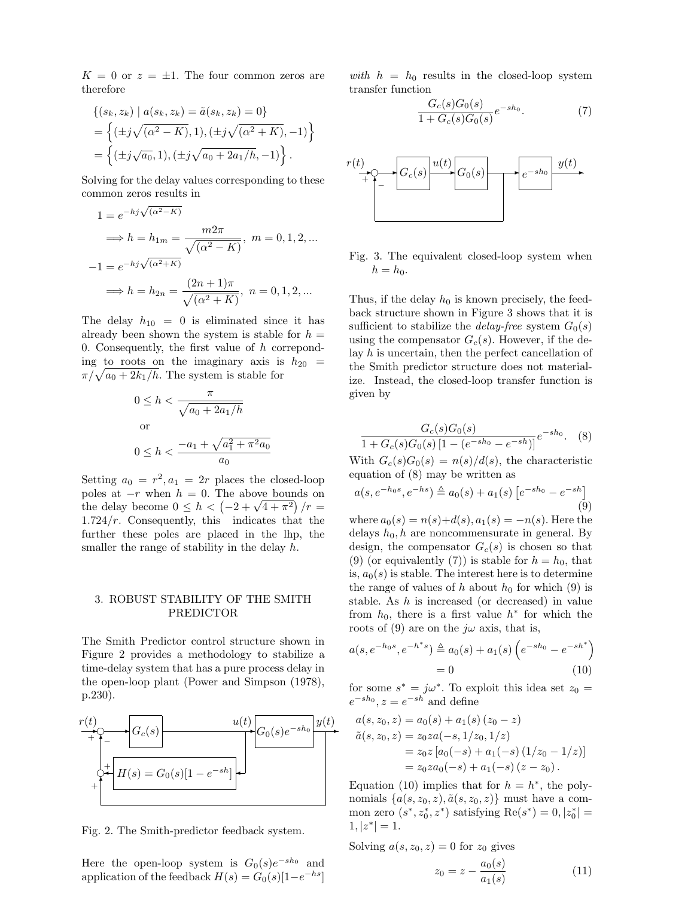$K = 0$  or  $z = \pm 1$ . The four common zeros are therefore

$$
\{(s_k, z_k) | a(s_k, z_k) = \tilde{a}(s_k, z_k) = 0\}
$$
  
= 
$$
\{( \pm j \sqrt{(\alpha^2 - K)}, 1), (\pm j \sqrt{(\alpha^2 + K)}, -1) \}
$$
  
= 
$$
\{( \pm j \sqrt{a_0}, 1), (\pm j \sqrt{a_0 + 2a_1/h}, -1) \}.
$$

Solving for the delay values corresponding to these common zeros results in

$$
1 = e^{-hj\sqrt{(\alpha^2 - K)}}
$$
  
\n
$$
\implies h = h_{1m} = \frac{m2\pi}{\sqrt{(\alpha^2 - K)}}
$$
,  $m = 0, 1, 2, ...$   
\n
$$
-1 = e^{-hj\sqrt{(\alpha^2 + K)}}
$$
  
\n
$$
\implies h = h_{2n} = \frac{(2n+1)\pi}{\sqrt{(\alpha^2 + K)}}
$$
,  $n = 0, 1, 2, ...$ 

The delay  $h_{10} = 0$  is eliminated since it has already been shown the system is stable for  $h =$ 0. Consequently, the first value of  $h$  correponding to roots on the imaginary axis is  $h_{20}$  = ing to roots on the imaginary axis is  $\pi/\sqrt{a_0+2k_1/h}$ . The system is stable for

$$
0 \le h < \frac{\pi}{\sqrt{a_0 + 2a_1/h}}
$$
\nor

\n
$$
0 \le h < \frac{-a_1 + \sqrt{a_1^2 + \pi^2 a_0}}{a_0}
$$

Setting  $a_0 = r^2, a_1 = 2r$  places the closed-loop poles at  $-r$  when  $h = 0$ . The above bounds on poies at  $-r$  when  $n = 0$ . The above bounds on<br>the delay become  $0 \le h < (-2 + \sqrt{4 + \pi^2})/r =$  $1.724/r$ . Consequently, this indicates that the further these poles are placed in the lhp, the smaller the range of stability in the delay  $h$ .

#### 3. ROBUST STABILITY OF THE SMITH PREDICTOR

The Smith Predictor control structure shown in Figure 2 provides a methodology to stabilize a time-delay system that has a pure process delay in the open-loop plant (Power and Simpson (1978), p.230).



Fig. 2. The Smith-predictor feedback system.

Here the open-loop system is  $G_0(s)e^{-sh_0}$  and application of the feedback  $H(s) = G_0(s)[1-e^{-hs}]$  with  $h = h_0$  results in the closed-loop system transfer function

$$
\frac{G_c(s)G_0(s)}{1+G_c(s)G_0(s)}e^{-sh_0}.\tag{7}
$$



Fig. 3. The equivalent closed-loop system when  $h = h_0$ .

Thus, if the delay  $h_0$  is known precisely, the feedback structure shown in Figure 3 shows that it is sufficient to stabilize the *delay-free* system  $G_0(s)$ using the compensator  $G_c(s)$ . However, if the delay h is uncertain, then the perfect cancellation of the Smith predictor structure does not materialize. Instead, the closed-loop transfer function is given by

$$
\frac{G_c(s)G_0(s)}{1 + G_c(s)G_0(s)\left[1 - (e^{-sh_0} - e^{-sh})\right]}e^{-sh_0}.\tag{8}
$$

With  $G_c(s)G_0(s) = n(s)/d(s)$ , the characteristic equation of (8) may be written as

$$
a(s, e^{-h_0 s}, e^{-h s}) \triangleq a_0(s) + a_1(s) \left[ e^{-sh_0} - e^{-sh} \right] \tag{9}
$$

where  $a_0(s) = n(s) + d(s), a_1(s) = -n(s)$ . Here the delays  $h_0$ , h are noncommensurate in general. By design, the compensator  $G_c(s)$  is chosen so that (9) (or equivalently (7)) is stable for  $h = h_0$ , that is,  $a_0(s)$  is stable. The interest here is to determine the range of values of h about  $h_0$  for which (9) is stable. As h is increased (or decreased) in value from  $h_0$ , there is a first value  $h^*$  for which the roots of (9) are on the  $j\omega$  axis, that is,

$$
a(s, e^{-h_0 s}, e^{-h^* s}) \triangleq a_0(s) + a_1(s) \left( e^{-sh_0} - e^{-sh^*} \right)
$$
  
= 0 (10)

for some  $s^* = j\omega^*$ . To exploit this idea set  $z_0 =$  $e^{-sh_0}, z = e^{-sh}$  and define

$$
a(s, z_0, z) = a_0(s) + a_1(s) (z_0 - z)
$$
  
\n
$$
\tilde{a}(s, z_0, z) = z_0 z a(-s, 1/z_0, 1/z)
$$
  
\n
$$
= z_0 z [a_0(-s) + a_1(-s) (1/z_0 - 1/z)]
$$
  
\n
$$
= z_0 z a_0(-s) + a_1(-s) (z - z_0).
$$

Equation (10) implies that for  $h = h^*$ , the polynomials  $\{a(s, z_0, z), \tilde{a}(s, z_0, z)\}\$  must have a common zero  $(s^*, z_0^*, z^*)$  satisfying  $Re(s^*) = 0, |z_0^*| =$  $1, |z^*| = 1.$ 

Solving  $a(s, z_0, z) = 0$  for  $z_0$  gives

$$
z_0 = z - \frac{a_0(s)}{a_1(s)}\tag{11}
$$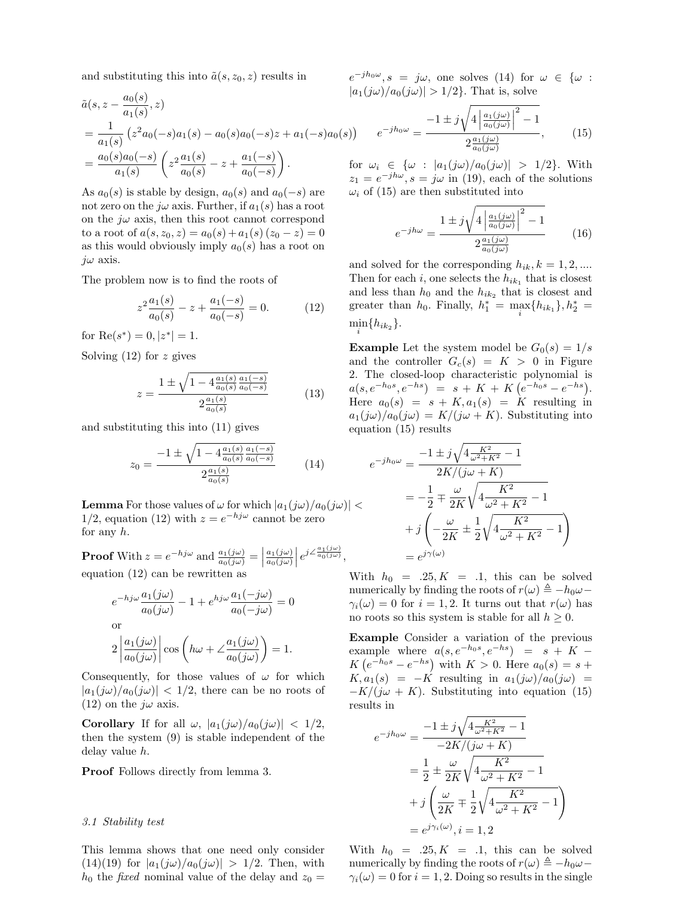and substituting this into  $\tilde{a}(s, z_0, z)$  results in

$$
\tilde{a}(s, z - \frac{a_0(s)}{a_1(s)}, z)
$$
\n
$$
= \frac{1}{a_1(s)} (z^2 a_0(-s) a_1(s) - a_0(s) a_0(-s) z + a_1(-s) a_0(s))
$$
\n
$$
= \frac{a_0(s) a_0(-s)}{a_1(s)} \left( z^2 \frac{a_1(s)}{a_0(s)} - z + \frac{a_1(-s)}{a_0(-s)} \right).
$$
 for

As  $a_0(s)$  is stable by design,  $a_0(s)$  and  $a_0(-s)$  are not zero on the  $j\omega$  axis. Further, if  $a_1(s)$  has a root on the  $j\omega$  axis, then this root cannot correspond to a root of  $a(s, z_0, z) = a_0(s) + a_1(s) (z_0 - z) = 0$ as this would obviously imply  $a_0(s)$  has a root on  $j\omega$  axis.

The problem now is to find the roots of

$$
z^{2} \frac{a_{1}(s)}{a_{0}(s)} - z + \frac{a_{1}(-s)}{a_{0}(-s)} = 0.
$$
 (12)

for  $\text{Re}(s^*) = 0, |z^*| = 1.$ 

Solving  $(12)$  for z gives

$$
z = \frac{1 \pm \sqrt{1 - 4 \frac{a_1(s)}{a_0(s)} \frac{a_1(-s)}{a_0(-s)}}}{2 \frac{a_1(s)}{a_0(s)}}\tag{13}
$$

and substituting this into (11) gives

$$
z_0 = \frac{-1 \pm \sqrt{1 - 4 \frac{a_1(s)}{a_0(s)} \frac{a_1(-s)}{a_0(-s)}}}{2 \frac{a_1(s)}{a_0(s)}}
$$
(14)

**Lemma** For those values of  $\omega$  for which  $|a_1(j\omega)/a_0(j\omega)|$ 1/2, equation (12) with  $z = e^{-h j \omega}$  cannot be zero for any  $h$ .

**Proof** With  $z = e^{-h j \omega}$  and  $\frac{a_1(j\omega)}{a_0(j\omega)} =$  $\frac{a_1(j\omega)}{a_2(j\omega)}$  $a_0(j\omega)$  $e^{j\angle \frac{a_1(j\omega)}{a_0(j\omega)}},$ equation (12) can be rewritten as

$$
e^{-h j\omega} \frac{a_1(j\omega)}{a_0(j\omega)} - 1 + e^{h j\omega} \frac{a_1(-j\omega)}{a_0(-j\omega)} = 0
$$
  
or  

$$
2 \left| \frac{a_1(j\omega)}{a_0(j\omega)} \right| \cos \left( h\omega + \angle \frac{a_1(j\omega)}{a_0(j\omega)} \right) = 1.
$$

Consequently, for those values of  $\omega$  for which  $|a_1(j\omega)/a_0(j\omega)| < 1/2$ , there can be no roots of (12) on the  $j\omega$  axis.

**Corollary** If for all  $\omega$ ,  $|a_1(j\omega)/a_0(j\omega)| < 1/2$ , then the system (9) is stable independent of the delay value h.

Proof Follows directly from lemma 3.

#### 3.1 Stability test

This lemma shows that one need only consider  $(14)(19)$  for  $|a_1(j\omega)/a_0(j\omega)| > 1/2$ . Then, with  $h_0$  the fixed nominal value of the delay and  $z_0 =$ 

 $e^{-jh_0\omega}, s = j\omega$ , one solves (14) for  $\omega \in {\omega :$  $|a_1(j\omega)/a_0(j\omega)| > 1/2$ . That is, solve

$$
e^{-jh_0\omega} = \frac{-1 \pm j\sqrt{4\left|\frac{a_1(j\omega)}{a_0(j\omega)}\right|^2 - 1}}{2\frac{a_1(j\omega)}{a_0(j\omega)}},\qquad(15)
$$

for  $\omega_i \in {\omega : [a_1(j\omega)/a_0(j\omega)] > 1/2}$ . With  $z_1 = e^{-j\hbar\omega}, s = j\omega$  in (19), each of the solutions  $\omega_i$  of (15) are then substituted into

$$
e^{-jh\omega} = \frac{1 \pm j\sqrt{4\left|\frac{a_1(j\omega)}{a_0(j\omega)}\right|^2 - 1}}{2\frac{a_1(j\omega)}{a_0(j\omega)}}\tag{16}
$$

and solved for the corresponding  $h_{ik}$ ,  $k = 1, 2, ...$ Then for each  $i$ , one selects the  $h_{ik_1}$  that is closest and less than  $h_0$  and the  $h_{ik_2}$  that is closest and greater than  $h_0$ . Finally,  $h_1^* = \max_i \{h_{ik_1}\}, h_2^* =$  $\min_i\{h_{ik_2}\}.$ 

**Example** Let the system model be  $G_0(s) = 1/s$ and the controller  $G_c(s) = K > 0$  in Figure 2. The closed-loop characteristic polynomial is 2. The closed-loop characteristic polynomial is<br>  $a(s, e^{-h_0 s}, e^{-h s}) = s + K + K(e^{-h_0 s} - e^{-h s}).$ Here  $a_0(s) = s + K, a_1(s) = K$  resulting in  $a_1(j\omega)/a_0(j\omega) = K/(j\omega + K)$ . Substituting into equation (15) results

$$
e^{-jh_0 \omega} = \frac{-1 \pm j\sqrt{4\frac{K^2}{\omega^2 + K^2} - 1}}{2K/(j\omega + K)}
$$
  

$$
= -\frac{1}{2} \pm \frac{\omega}{2K} \sqrt{4\frac{K^2}{\omega^2 + K^2} - 1}
$$
  

$$
+ j\left(-\frac{\omega}{2K} \pm \frac{1}{2} \sqrt{4\frac{K^2}{\omega^2 + K^2} - 1}\right)
$$
  

$$
= e^{j\gamma(\omega)}
$$

With  $h_0 = .25, K = .1$ , this can be solved numerically by finding the roots of  $r(\omega) \triangleq -h_0\omega$  $\gamma_i(\omega) = 0$  for  $i = 1, 2$ . It turns out that  $r(\omega)$  has no roots so this system is stable for all  $h \geq 0$ .

Example Consider a variation of the previous example where  $a(s, e^{-h_0 s}, e^{-h s}) = s + K$ example where  $a(s, e^{-\kappa s}, e^{-\kappa s}) = s + K - K$ <br> $K(e^{-\kappa s} - e^{-\kappa s})$  with  $K > 0$ . Here  $a_0(s) = s + K$  $K, a_1(s) = -K$  resulting in  $a_1(j\omega)/a_0(j\omega)$  =  $-K/(j\omega + K)$ . Substituting into equation (15) results in

$$
e^{-jh_0\omega} = \frac{-1 \pm j\sqrt{4\frac{K^2}{\omega^2 + K^2} - 1}}{-2K/(j\omega + K)}
$$
  
=  $\frac{1}{2} \pm \frac{\omega}{2K} \sqrt{4\frac{K^2}{\omega^2 + K^2} - 1}$   
+  $j\left(\frac{\omega}{2K} \mp \frac{1}{2} \sqrt{4\frac{K^2}{\omega^2 + K^2} - 1}\right)$   
=  $e^{j\gamma_i(\omega)}, i = 1, 2$ 

With  $h_0 = .25, K = .1$ , this can be solved numerically by finding the roots of  $r(\omega) \triangleq -h_0\omega$  $\gamma_i(\omega) = 0$  for  $i = 1, 2$ . Doing so results in the single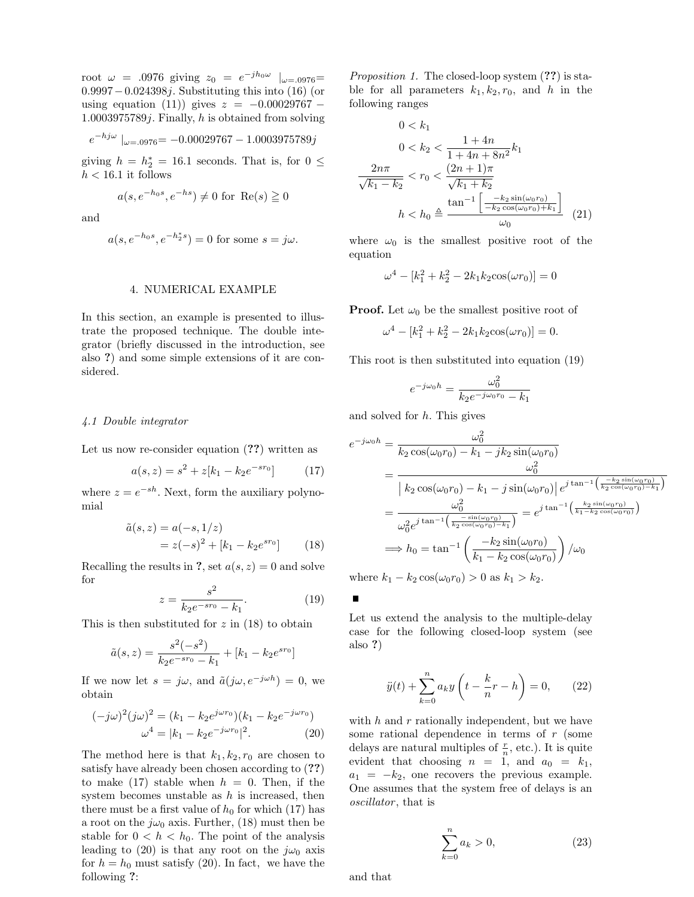root  $\omega = .0976$  giving  $z_0 = e^{-jh_0\omega}$   $|_{\omega = .0976}$ 0.9997−0.024398j. Substituting this into (16) (or using equation (11)) gives  $z = -0.00029767 1.0003975789j$ . Finally, h is obtained from solving

$$
e^{-h j \omega} \mid_{\omega = .0976} = -0.00029767 - 1.0003975789j
$$

giving  $h = h_2^* = 16.1$  seconds. That is, for  $0 \le$  $h < 16.1$  it follows

$$
a(s, e^{-h_0 s}, e^{-h s}) \neq 0 \text{ for } \text{Re}(s) \geq 0
$$

and

$$
a(s, e^{-h_0 s}, e^{-h_2^* s}) = 0
$$
 for some  $s = j\omega$ .

#### 4. NUMERICAL EXAMPLE

In this section, an example is presented to illustrate the proposed technique. The double integrator (briefly discussed in the introduction, see also ?) and some simple extensions of it are considered.

#### 4.1 Double integrator

Let us now re-consider equation (??) written as

$$
a(s, z) = s^2 + z[k_1 - k_2 e^{-sr_0}] \tag{17}
$$

where  $z = e^{-sh}$ . Next, form the auxiliary polynomial

$$
\tilde{a}(s, z) = a(-s, 1/z) \n= z(-s)^2 + [k_1 - k_2 e^{s r_0}]
$$
\n(18)

Recalling the results in ?, set  $a(s, z) = 0$  and solve for

$$
z = \frac{s^2}{k_2 e^{-s r_0} - k_1}.\tag{19}
$$

This is then substituted for  $z$  in  $(18)$  to obtain

$$
\tilde{a}(s,z) = \frac{s^2(-s^2)}{k_2 e^{-s r_0} - k_1} + [k_1 - k_2 e^{s r_0}]
$$

If we now let  $s = j\omega$ , and  $\tilde{a}(j\omega, e^{-j\omega h}) = 0$ , we obtain

$$
(-j\omega)^2(j\omega)^2 = (k_1 - k_2 e^{j\omega r_0})(k_1 - k_2 e^{-j\omega r_0})
$$
  

$$
\omega^4 = |k_1 - k_2 e^{-j\omega r_0}|^2.
$$
 (20)

The method here is that  $k_1, k_2, r_0$  are chosen to satisfy have already been chosen according to (??) to make  $(17)$  stable when  $h = 0$ . Then, if the system becomes unstable as  $h$  is increased, then there must be a first value of  $h_0$  for which (17) has a root on the  $j\omega_0$  axis. Further, (18) must then be stable for  $0 < h < h_0$ . The point of the analysis leading to (20) is that any root on the  $j\omega_0$  axis for  $h = h_0$  must satisfy (20). In fact, we have the following ?:

*Proposition 1.* The closed-loop system  $(??)$  is stable for all parameters  $k_1, k_2, r_0$ , and h in the following ranges

$$
0 < k_1
$$
\n
$$
0 < k_2 < \frac{1 + 4n}{1 + 4n + 8n^2} k_1
$$
\n
$$
\frac{2n\pi}{\sqrt{k_1 - k_2}} < r_0 < \frac{(2n + 1)\pi}{\sqrt{k_1 + k_2}}
$$
\n
$$
h < h_0 \triangleq \frac{\tan^{-1}\left[\frac{-k_2 \sin(\omega_0 r_0)}{-k_2 \cos(\omega_0 r_0) + k_1}\right]}{\omega_0} \tag{21}
$$

where  $\omega_0$  is the smallest positive root of the equation

$$
\omega^4 - [k_1^2 + k_2^2 - 2k_1k_2 \cos(\omega r_0)] = 0
$$

**Proof.** Let  $\omega_0$  be the smallest positive root of

$$
\omega^4 - [k_1^2 + k_2^2 - 2k_1k_2 \cos(\omega r_0)] = 0.
$$

This root is then substituted into equation (19)

$$
e^{-j\omega_0 h} = \frac{\omega_0^2}{k_2 e^{-j\omega_0 r_0} - k_1}
$$

and solved for  $h$ . This gives

$$
e^{-j\omega_0 h} = \frac{\omega_0^2}{k_2 \cos(\omega_0 r_0) - k_1 - j k_2 \sin(\omega_0 r_0)}
$$
  
= 
$$
\frac{\omega_0^2}{\left| k_2 \cos(\omega_0 r_0) - k_1 - j \sin(\omega_0 r_0) \right|} e^{j \tan^{-1} \left( \frac{-k_2 \sin(\omega_0 r_0)}{k_2 \cos(\omega_0 r_0) - k_1} \right)}
$$
  
= 
$$
\frac{\omega_0^2}{\omega_0^2 e^{j \tan^{-1} \left( \frac{-\sin(\omega_0 r_0)}{k_2 \cos(\omega_0 r_0) - k_1} \right)}} = e^{j \tan^{-1} \left( \frac{k_2 \sin(\omega_0 r_0)}{k_1 - k_2 \cos(\omega_0 r_0)} \right)}
$$
  

$$
\implies h_0 = \tan^{-1} \left( \frac{-k_2 \sin(\omega_0 r_0)}{k_1 - k_2 \cos(\omega_0 r_0)} \right) / \omega_0
$$

where  $k_1 - k_2 \cos(\omega_0 r_0) > 0$  as  $k_1 > k_2$ .

 $\blacksquare$ 

Let us extend the analysis to the multiple-delay case for the following closed-loop system (see also ?)

$$
\ddot{y}(t) + \sum_{k=0}^{n} a_k y \left( t - \frac{k}{n} r - h \right) = 0, \qquad (22)
$$

with  $h$  and  $r$  rationally independent, but we have some rational dependence in terms of r (some delays are natural multiples of  $\frac{r}{n}$ , etc.). It is quite evident that choosing  $n = 1$ , and  $a_0 = k_1$ ,  $a_1 = -k_2$ , one recovers the previous example. One assumes that the system free of delays is an oscillator, that is

$$
\sum_{k=0}^{n} a_k > 0,\tag{23}
$$

and that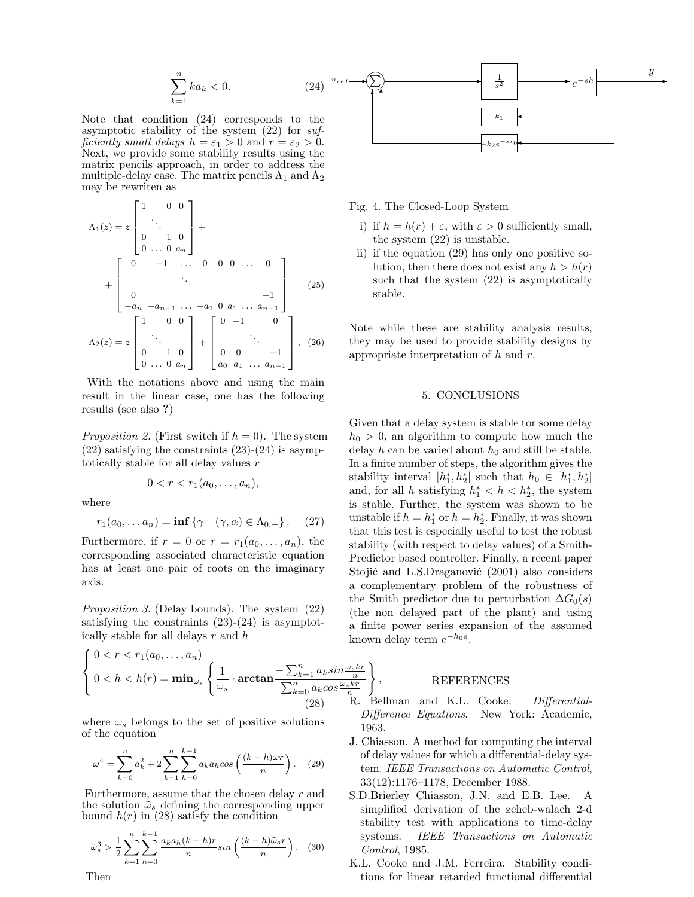$$
\sum_{k=1}^{n} ka_k < 0. \tag{24}
$$

Note that condition (24) corresponds to the asymptotic stability of the system (22) for sufficiently small delays  $h = \varepsilon_1 > 0$  and  $r = \varepsilon_2 > 0$ . Next, we provide some stability results using the matrix pencils approach, in order to address the multiple-delay case. The matrix pencils  $\Lambda_1$  and  $\Lambda_2$ may be rewriten as

$$
\Lambda_1(z) = z \begin{bmatrix} 1 & 0 & 0 \\ & \ddots & \\ 0 & 1 & 0 \\ 0 & \dots & 0 & a_n \end{bmatrix} + \begin{bmatrix} 0 & -1 & \dots & 0 & 0 & 0 & \dots & 0 \\ & \ddots & & & & \\ 0 & & & & & -1 \\ -a_n & -a_{n-1} & \dots & -a_1 & 0 & a_1 & \dots & a_{n-1} \end{bmatrix}
$$
(25)  

$$
\Lambda_2(z) = z \begin{bmatrix} 1 & 0 & 0 \\ & \ddots & \\ 0 & 1 & 0 \\ 0 & \dots & 0 & a_n \end{bmatrix} + \begin{bmatrix} 0 & -1 & 0 \\ & \ddots & \\ 0 & 0 & -1 \\ a_0 & a_1 & \dots & a_{n-1} \end{bmatrix}, (26)
$$

With the notations above and using the main result in the linear case, one has the following results (see also ?)

*Proposition 2.* (First switch if  $h = 0$ ). The system  $(22)$  satisfying the constraints  $(23)-(24)$  is asymptotically stable for all delay values r

$$
0 < r < r1(a0,...,an),
$$

where

$$
r_1(a_0,... a_n) = \inf \{ \gamma \quad (\gamma, \alpha) \in \Lambda_{0,+} \} . \quad (27)
$$

Furthermore, if  $r = 0$  or  $r = r_1(a_0, \ldots, a_n)$ , the corresponding associated characteristic equation has at least one pair of roots on the imaginary axis.

Proposition 3. (Delay bounds). The system (22) satisfying the constraints  $(23)-(24)$  is asymptotically stable for all delays  $r$  and  $h$ 

$$
\begin{cases}\n0 < r < r_1(a_0, \dots, a_n) \\
0 < h < h(r) = \min_{\omega_s} \left\{ \frac{1}{\omega_s} \cdot \arctan \frac{-\sum_{k=1}^n a_k \sin \frac{\omega_s kr}{n}}{\sum_{k=0}^n a_k \cos \frac{\omega_s kr}{n}} \right\} \\
(28) & \text{R}.\n\end{cases}
$$

where  $\omega_s$  belongs to the set of positive solutions of the equation

$$
\omega^4 = \sum_{k=0}^n a_k^2 + 2 \sum_{k=1}^n \sum_{h=0}^{k-1} a_k a_h \cos\left(\frac{(k-h)\omega r}{n}\right). \tag{29}
$$

Furthermore, assume that the chosen delay r and the solution  $\tilde{\omega}_s$  defining the corresponding upper bound  $h(r)$  in (28) satisfy the condition

$$
\tilde{\omega}_s^3 > \frac{1}{2} \sum_{k=1}^n \sum_{h=0}^{k-1} \frac{a_k a_h (k-h)r}{n} \sin\left(\frac{(k-h)\tilde{\omega}_s r}{n}\right). \tag{30}
$$



Fig. 4. The Closed-Loop System

- i) if  $h = h(r) + \varepsilon$ , with  $\varepsilon > 0$  sufficiently small, the system (22) is unstable.
- ii) if the equation (29) has only one positive solution, then there does not exist any  $h > h(r)$ such that the system (22) is asymptotically stable.

Note while these are stability analysis results, they may be used to provide stability designs by appropriate interpretation of  $h$  and  $r$ .

#### 5. CONCLUSIONS

Given that a delay system is stable tor some delay  $h_0 > 0$ , an algorithm to compute how much the delay h can be varied about  $h_0$  and still be stable. In a finite number of steps, the algorithm gives the stability interval  $[h_1^*, h_2^*]$  such that  $h_0 \in [h_1^*, h_2^*]$ and, for all h satisfying  $h_1^* < h < h_2^*$ , the system is stable. Further, the system was shown to be unstable if  $h = h_1^*$  or  $h = h_2^*$ . Finally, it was shown that this test is especially useful to test the robust stability (with respect to delay values) of a Smith-Predictor based controller. Finally, a recent paper Stojić and L.S.Draganović (2001) also considers a complementary problem of the robustness of the Smith predictor due to perturbation  $\Delta G_0(s)$ (the non delayed part of the plant) and using a finite power series expansion of the assumed known delay term  $e^{-h_0 s}$ .

#### REFERENCES

 $\mathbf{r}$ ,

- Bellman and K.L. Cooke. Differential-Difference Equations. New York: Academic, 1963.
- J. Chiasson. A method for computing the interval of delay values for which a differential-delay system. IEEE Transactions on Automatic Control, 33(12):1176–1178, December 1988.
- S.D.Brierley Chiasson, J.N. and E.B. Lee. A simplified derivation of the zeheb-walach 2-d stability test with applications to time-delay systems. IEEE Transactions on Automatic Control, 1985.
- K.L. Cooke and J.M. Ferreira. Stability conditions for linear retarded functional differential

Then